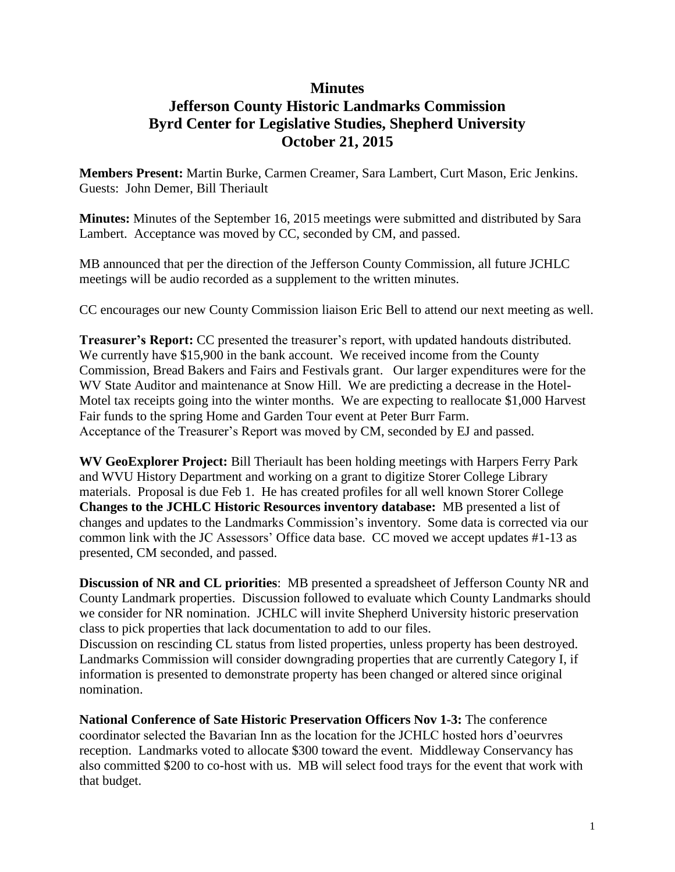## **Minutes**

## **Jefferson County Historic Landmarks Commission Byrd Center for Legislative Studies, Shepherd University October 21, 2015**

**Members Present:** Martin Burke, Carmen Creamer, Sara Lambert, Curt Mason, Eric Jenkins. Guests: John Demer, Bill Theriault

**Minutes:** Minutes of the September 16, 2015 meetings were submitted and distributed by Sara Lambert. Acceptance was moved by CC, seconded by CM, and passed.

MB announced that per the direction of the Jefferson County Commission, all future JCHLC meetings will be audio recorded as a supplement to the written minutes.

CC encourages our new County Commission liaison Eric Bell to attend our next meeting as well.

**Treasurer's Report:** CC presented the treasurer's report, with updated handouts distributed. We currently have \$15,900 in the bank account. We received income from the County Commission, Bread Bakers and Fairs and Festivals grant. Our larger expenditures were for the WV State Auditor and maintenance at Snow Hill. We are predicting a decrease in the Hotel-Motel tax receipts going into the winter months. We are expecting to reallocate \$1,000 Harvest Fair funds to the spring Home and Garden Tour event at Peter Burr Farm. Acceptance of the Treasurer's Report was moved by CM, seconded by EJ and passed.

**WV GeoExplorer Project:** Bill Theriault has been holding meetings with Harpers Ferry Park and WVU History Department and working on a grant to digitize Storer College Library materials. Proposal is due Feb 1. He has created profiles for all well known Storer College **Changes to the JCHLC Historic Resources inventory database:** MB presented a list of changes and updates to the Landmarks Commission's inventory. Some data is corrected via our common link with the JC Assessors' Office data base. CC moved we accept updates #1-13 as presented, CM seconded, and passed.

**Discussion of NR and CL priorities**: MB presented a spreadsheet of Jefferson County NR and County Landmark properties. Discussion followed to evaluate which County Landmarks should we consider for NR nomination. JCHLC will invite Shepherd University historic preservation class to pick properties that lack documentation to add to our files.

Discussion on rescinding CL status from listed properties, unless property has been destroyed. Landmarks Commission will consider downgrading properties that are currently Category I, if information is presented to demonstrate property has been changed or altered since original nomination.

**National Conference of Sate Historic Preservation Officers Nov 1-3:** The conference coordinator selected the Bavarian Inn as the location for the JCHLC hosted hors d'oeurvres reception. Landmarks voted to allocate \$300 toward the event. Middleway Conservancy has also committed \$200 to co-host with us. MB will select food trays for the event that work with that budget.